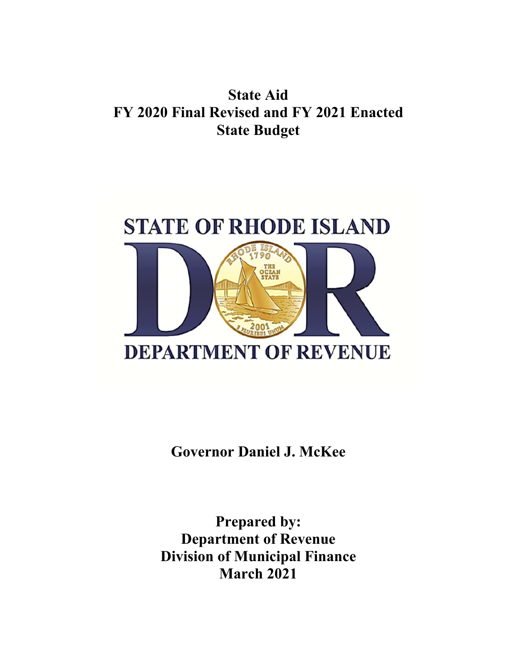## **State Aid FY 2020 Final Revised and FY 2021 Enacted State Budget**



**Governor Daniel J. McKee** 

**Prepared by: Department of Revenue Division of Municipal Finance March 2021**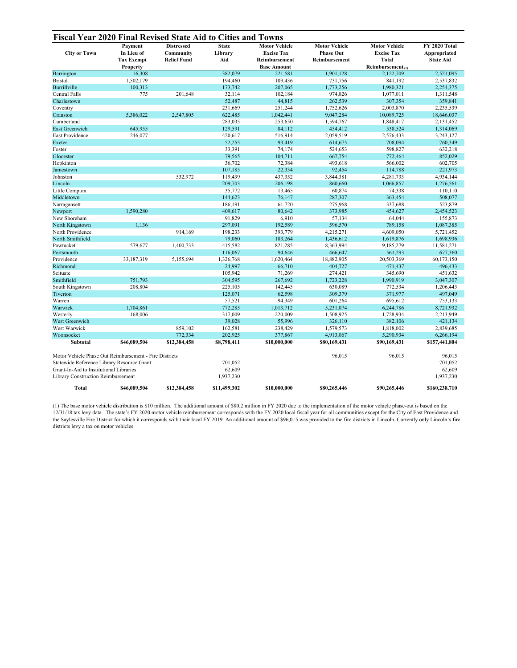| <b>City or Town</b>                                    | Payment<br>In Lieu of<br><b>Tax Exempt</b> | <b>Distressed</b><br>Community<br><b>Relief Fund</b> | <b>State</b><br>Library<br>Aid | <b>Motor Vehicle</b><br><b>Excise Tax</b><br>Reimbursement | <b>Motor Vehicle</b><br><b>Phase Out</b><br>Reimbursement | <b>Motor Vehicle</b><br><b>Excise Tax</b><br>Total | FY 2020 Total<br>Appropriated<br><b>State Aid</b> |
|--------------------------------------------------------|--------------------------------------------|------------------------------------------------------|--------------------------------|------------------------------------------------------------|-----------------------------------------------------------|----------------------------------------------------|---------------------------------------------------|
|                                                        | Property                                   |                                                      |                                | <b>Base Amount</b>                                         |                                                           | Reimbursement $(1)$                                |                                                   |
| Barrington                                             | 16,308                                     |                                                      | 382,079                        | 221,581                                                    | 1,901,128                                                 | 2,122,709                                          | 2,521,095                                         |
| <b>Bristol</b>                                         | 1,502,179                                  |                                                      | 194,460                        | 109,436                                                    | 731,756                                                   | 841,192                                            | 2,537,832                                         |
| Burrillville                                           | 100,313                                    |                                                      | 173,742                        | 207,065                                                    | 1,773,256                                                 | 1,980,321                                          | 2,254,375                                         |
| <b>Central Falls</b>                                   | 775                                        | 201,648                                              | 32,114                         | 102,184                                                    | 974,826                                                   | 1,077,011                                          | 1,311,548                                         |
| Charlestown                                            |                                            |                                                      | 52,487                         | 44,815                                                     | 262,539                                                   | 307,354                                            | 359,841                                           |
| Coventry                                               |                                            |                                                      | 231,669                        | 251,244                                                    | 1,752,626                                                 | 2,003,870                                          | 2,235,539                                         |
| Cranston                                               | 5.386,022                                  | 2,547,805                                            | 622,485                        | 1,042,441                                                  | 9,047,284                                                 | 10,089,725                                         | 18,646,037                                        |
| Cumberland                                             |                                            |                                                      | 283,035                        | 253,650                                                    | 1,594,767                                                 | 1,848,417                                          | 2,131,452                                         |
| <b>East Greenwich</b>                                  | 645,955                                    |                                                      | 129,591                        | 84,112                                                     | 454,412                                                   | 538,524                                            | 1,314,069                                         |
| East Providence                                        | 246,077                                    |                                                      | 420,617                        | 516,914                                                    | 2,059,519                                                 | 2,576,433                                          | 3,243,127                                         |
| Exeter                                                 |                                            |                                                      | 52,255                         | 93,419                                                     | 614,675                                                   | 708,094                                            | 760,349                                           |
| Foster                                                 |                                            |                                                      | 33,391                         | 74,174                                                     | 524,653                                                   | 598,827                                            | 632,218                                           |
| Glocester                                              |                                            |                                                      | 79,565                         | 104,711                                                    | 667,754                                                   | 772,464                                            | 852,029                                           |
| Hopkinton                                              |                                            |                                                      | 36,702                         | 72,384                                                     | 493,618                                                   | 566,002                                            | 602,705                                           |
| Jamestown                                              |                                            |                                                      | 107,185                        | 22,334                                                     | 92,454                                                    | 114,788                                            | 221,973                                           |
| Johnston                                               |                                            | 532,972                                              | 119,439                        | 437,352                                                    | 3,844,381                                                 | 4,281,733                                          | 4,934,144                                         |
| Lincoln                                                |                                            |                                                      | 209,703                        | 206,198                                                    | 860,660                                                   | 1,066,857                                          | 1,276,561                                         |
| Little Compton                                         |                                            |                                                      | 35,772                         | 13,465                                                     | 60,874                                                    | 74,338                                             | 110,110                                           |
| Middletown                                             |                                            |                                                      | 144,623                        | 76,147                                                     | 287,307                                                   | 363,454                                            | 508,077                                           |
| Narragansett                                           |                                            |                                                      | 186,191                        | 61,720                                                     | 275,968                                                   | 337,688                                            | 523,879                                           |
| Newport                                                | 1.590.280                                  |                                                      | 409,617                        | 80,642                                                     | 373,985                                                   | 454,627                                            | 2,454,523                                         |
| New Shoreham                                           |                                            |                                                      | 91,829                         | 6,910                                                      | 57,134                                                    | 64,044                                             | 155,873                                           |
| North Kingstown                                        | 1.136                                      |                                                      | 297,091                        | 192,589                                                    | 596,570                                                   | 789,158                                            | 1,087,385                                         |
| North Providence                                       |                                            | 914,169                                              | 198,233                        | 393,779                                                    | 4,215,271                                                 | 4,609,050                                          | 5,721,452                                         |
| North Smithfield                                       |                                            |                                                      | 79,060                         | 183,264                                                    | 1,436,612                                                 | 1,619,876                                          | 1,698,936                                         |
| Pawtucket                                              | 579,677                                    | 1,400,733                                            | 415,582                        | 821,285                                                    | 8,363,994                                                 | 9,185,279                                          | 11,581,271                                        |
| Portsmouth                                             |                                            |                                                      | 116,067                        | 94,646                                                     | 466,647                                                   | 561,293                                            | 677,360                                           |
| Providence                                             | 33,187,319                                 | 5,155,694                                            | 1,326,768                      | 1,620,464                                                  | 18,882,905                                                | 20,503,369                                         | 60,173,150                                        |
| Richmond                                               |                                            |                                                      | 24,997                         | 66,710                                                     | 404,727                                                   | 471,437                                            | 496,433                                           |
| Scituate                                               |                                            |                                                      | 105,942                        | 71,269                                                     | 274,421                                                   | 345,690                                            | 451,632                                           |
| Smithfield                                             | 751,793                                    |                                                      | 304,595                        | 267,692                                                    | 1,723,228                                                 | 1,990,919                                          | 3,047,307                                         |
| South Kingstown                                        | 208,804                                    |                                                      | 225,105                        | 142,445                                                    | 630,089                                                   | 772,534                                            | 1,206,443                                         |
| Tiverton                                               |                                            |                                                      | 125,071                        | 62,598                                                     | 309,379                                                   | 371,977                                            | 497,049                                           |
| Warren                                                 |                                            |                                                      | 57,521                         | 94,349                                                     | 601,264                                                   | 695.612                                            | 753,133                                           |
| Warwick                                                | 1,704,861                                  |                                                      | 772,285                        | 1,013,712                                                  | 5,231,074                                                 | 6,244,786                                          | 8,721,932                                         |
| Westerly                                               | 168,006                                    |                                                      | 317,009                        | 220,009                                                    | 1,508,925                                                 | 1,728,934                                          | 2,213,949                                         |
| West Greenwich                                         |                                            |                                                      | 39,028                         | 55,996                                                     | 326,110                                                   | 382,106                                            | 421,134                                           |
| West Warwick                                           |                                            | 859,102                                              | 162,581                        | 238,429                                                    | 1,579,573                                                 | 1,818,002                                          | 2,839,685                                         |
| Woonsocket                                             |                                            | 772,334                                              | 202,925                        | 377,867                                                    | 4,913,067                                                 | 5,290,934                                          | 6,266,194                                         |
| <b>Subtotal</b>                                        | \$46,089,504                               | \$12,384,458                                         | \$8,798,411                    | \$10,000,000                                               | \$80,169,431                                              | \$90,169,431                                       | \$157,441,804                                     |
| Motor Vehicle Phase Out Reimbursement - Fire Districts |                                            |                                                      |                                | 96,015                                                     | 96,015                                                    | 96,015                                             |                                                   |
| Statewide Reference Library Resource Grant             |                                            |                                                      | 701,052                        |                                                            |                                                           |                                                    | 701,052                                           |
| Grant-In-Aid to Institutional Libraries                |                                            |                                                      | 62,609                         |                                                            |                                                           |                                                    | 62,609                                            |
| Library Construction Reimbursement                     |                                            |                                                      | 1,937,230                      |                                                            |                                                           |                                                    | 1,937,230                                         |
| <b>Total</b>                                           | \$46,089,504                               | \$12,384,458                                         | \$11,499,302                   | \$10,000,000                                               | \$80,265,446                                              | \$90,265,446                                       | \$160,238,710                                     |

(1) The base motor vehicle distribution is \$10 million. The additional amount of \$80.2 million in FY 2020 due to the implementation of the motor vehicle phase-out is based on the 12/31/18 tax levy data. The state's FY 2020 motor vehicle reimbursement corresponds with the FY 2020 local fiscal year for all communities except for the City of East Providence and the Saylesville Fire District for which it corresponds with their local FY 2019. An additional amount of \$96,015 was provided to the fire districts in Lincoln. Currently only Lincoln's fire districts levy a tax on motor vehicles.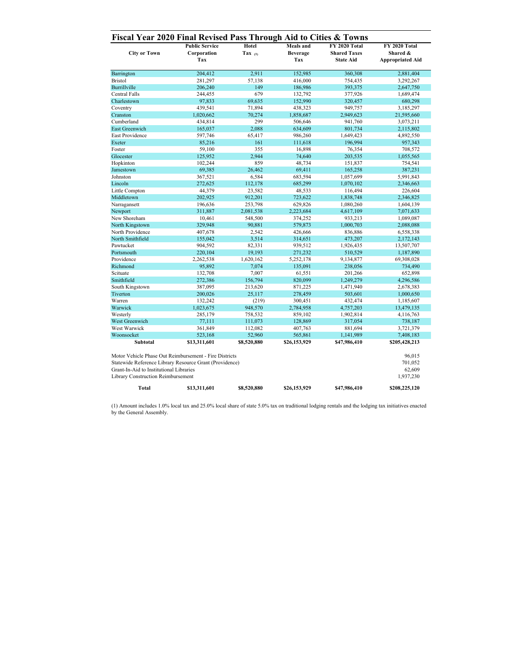| <b>City or Town</b>                                                                                                                                                                                | <b>Public Service</b><br>Corporation<br>Tax | Hotel<br>Tax $(1)$ | <b>Meals</b> and<br>Beverage<br>Tax | FY 2020 Total<br><b>Shared Taxes</b><br><b>State Aid</b> | FY 2020 Total<br>Shared &<br><b>Appropriated Aid</b> |
|----------------------------------------------------------------------------------------------------------------------------------------------------------------------------------------------------|---------------------------------------------|--------------------|-------------------------------------|----------------------------------------------------------|------------------------------------------------------|
| Barrington                                                                                                                                                                                         | 204,412                                     | 2,911              | 152,985                             | 360,308                                                  | 2,881,404                                            |
| <b>Bristol</b>                                                                                                                                                                                     | 281,297                                     | 57,138             | 416,000                             | 754,435                                                  | 3,292,267                                            |
| Burrillville                                                                                                                                                                                       | 206,240                                     | 149                | 186,986                             | 393,375                                                  | 2,647,750                                            |
| <b>Central Falls</b>                                                                                                                                                                               | 244,455                                     | 679                | 132,792                             | 377,926                                                  | 1,689,474                                            |
| Charlestown                                                                                                                                                                                        | 97,833                                      | 69,635             | 152,990                             | 320,457                                                  | 680,298                                              |
| Coventry                                                                                                                                                                                           | 439,541                                     | 71,894             | 438,323                             | 949,757                                                  | 3,185,297                                            |
| Cranston                                                                                                                                                                                           | 1,020,662                                   | 70,274             | 1,858,687                           | 2,949,623                                                | 21,595,660                                           |
| Cumberland                                                                                                                                                                                         | 434,814                                     | 299                | 506,646                             | 941,760                                                  | 3,073,211                                            |
| East Greenwich                                                                                                                                                                                     | 165,037                                     | 2,088              | 634,609                             | 801,734                                                  | 2,115,802                                            |
| East Providence                                                                                                                                                                                    | 597,746                                     | 65,417             | 986,260                             | 1,649,423                                                | 4,892,550                                            |
| Exeter                                                                                                                                                                                             | 85,216                                      | 161                | 111,618                             | 196,994                                                  | 957,343                                              |
| Foster                                                                                                                                                                                             | 59,100                                      | 355                | 16,898                              | 76,354                                                   | 708,572                                              |
| Glocester                                                                                                                                                                                          | 125,952                                     | 2.944              | 74,640                              | 203,535                                                  | 1,055,565                                            |
| Hopkinton                                                                                                                                                                                          | 102,244                                     | 859                | 48,734                              | 151,837                                                  | 754,541                                              |
| Jamestown                                                                                                                                                                                          | 69,385                                      | 26,462             | 69,411                              | 165,258                                                  | 387,231                                              |
| Johnston                                                                                                                                                                                           | 367,521                                     | 6,584              | 683,594                             | 1,057,699                                                | 5,991,843                                            |
| Lincoln                                                                                                                                                                                            | 272,625                                     | 112,178            | 685,299                             | 1,070,102                                                | 2,346,663                                            |
| Little Compton                                                                                                                                                                                     | 44,379                                      | 23,582             | 48,533                              | 116,494                                                  | 226,604                                              |
| Middletown                                                                                                                                                                                         | 202,925                                     | 912,201            | 723,622                             | 1,838,748                                                | 2,346,825                                            |
| Narragansett                                                                                                                                                                                       | 196,636                                     | 253,798            | 629,826                             | 1,080,260                                                | 1,604,139                                            |
| Newport                                                                                                                                                                                            | 311,887                                     | 2,081,538          | 2,223,684                           | 4,617,109                                                | 7,071,633                                            |
| New Shoreham                                                                                                                                                                                       | 10,461                                      | 548,500            | 374,252                             | 933,213                                                  | 1,089,087                                            |
| North Kingstown                                                                                                                                                                                    | 329,948                                     | 90,881             | 579,873                             | 1,000,703                                                | 2,088,088                                            |
| North Providence                                                                                                                                                                                   | 407,678                                     | 2,542              | 426,666                             | 836,886                                                  | 6,558,338                                            |
| North Smithfield                                                                                                                                                                                   | 155,042                                     | 3,514              | 314,651                             | 473,207                                                  | 2,172,143                                            |
| Pawtucket                                                                                                                                                                                          | 904,592                                     | 82,331             | 939,512                             | 1,926,435                                                | 13,507,707                                           |
| Portsmouth                                                                                                                                                                                         | 220,104                                     | 19,193             | 271,232                             | 510,529                                                  | 1,187,890                                            |
| Providence                                                                                                                                                                                         | 2,262,538                                   | 1,620,162          | 5,252,178                           | 9,134,877                                                | 69,308,028                                           |
| Richmond                                                                                                                                                                                           | 95,892                                      | 7,074              | 135,091                             | 238,056                                                  | 734,490                                              |
| Scituate                                                                                                                                                                                           | 132,708                                     | 7,007              | 61,551                              | 201,266                                                  | 652,898                                              |
| Smithfield                                                                                                                                                                                         | 272,386                                     | 156,794            | 820,099                             | 1,249,279                                                | 4,296,586                                            |
| South Kingstown                                                                                                                                                                                    | 387,095                                     | 213,620            | 871,225                             | 1,471,940                                                | 2,678,383                                            |
| Tiverton                                                                                                                                                                                           | 200,026                                     | 25,117             | 278,459                             | 503,601                                                  | 1,000,650                                            |
| Warren                                                                                                                                                                                             | 132,242                                     | (219)              | 300,451                             | 432,474                                                  | 1,185,607                                            |
| Warwick                                                                                                                                                                                            | 1,023,675                                   | 948,570            | 2,784,958                           | 4,757,203                                                | 13,479,135                                           |
| Westerly                                                                                                                                                                                           | 285,179                                     | 758,532            | 859,102                             | 1,902,814                                                | 4,116,763                                            |
| West Greenwich                                                                                                                                                                                     | 77,111                                      | 111,073            | 128,869                             | 317,054                                                  | 738,187                                              |
| West Warwick                                                                                                                                                                                       | 361,849                                     | 112,082            | 407,763                             | 881,694                                                  | 3,721,379                                            |
| Woonsocket                                                                                                                                                                                         | 523,168                                     | 52,960             | 565,861                             | 1,141,989                                                | 7,408,183                                            |
| Subtotal                                                                                                                                                                                           | \$13,311,601                                | \$8,520,880        | \$26,153,929                        | \$47,986,410                                             | \$205,428,213                                        |
| Motor Vehicle Phase Out Reimbursement - Fire Districts<br>Statewide Reference Library Resource Grant (Providence)<br>Grant-In-Aid to Institutional Libraries<br>Library Construction Reimbursement |                                             |                    |                                     |                                                          | 96,015<br>701,052<br>62,609<br>1,937,230             |
| <b>Total</b>                                                                                                                                                                                       | \$13,311,601                                | \$8,520,880        | \$26,153,929                        | \$47,986,410                                             | \$208,225,120                                        |

(1) Amount includes 1.0% local tax and 25.0% local share of state 5.0% tax on traditional lodging rentals and the lodging tax initiatives enacted by the General Assembly.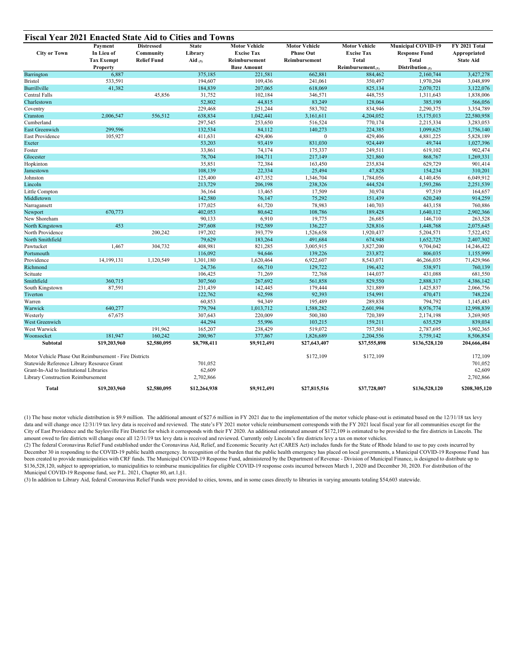| <b>City or Town</b>                                    | Payment<br>In Lieu of<br><b>Tax Exempt</b> | <b>Distressed</b><br>Community<br><b>Relief Fund</b> | <b>State</b><br>Library<br>Aid $(3)$ | <b>Motor Vehicle</b><br><b>Excise Tax</b><br>Reimbursement | <b>Motor Vehicle</b><br><b>Phase Out</b><br>Reimbursement | <b>Motor Vehicle</b><br><b>Excise Tax</b><br>Total | <b>Municipal COVID-19</b><br><b>Response Fund</b><br><b>Total</b> | FY 2021 Total<br>Appropriated<br><b>State Aid</b> |
|--------------------------------------------------------|--------------------------------------------|------------------------------------------------------|--------------------------------------|------------------------------------------------------------|-----------------------------------------------------------|----------------------------------------------------|-------------------------------------------------------------------|---------------------------------------------------|
|                                                        | Property                                   |                                                      |                                      | <b>Base Amount</b>                                         |                                                           | Reimbursement $(1)$                                | Distribution $(2)$                                                |                                                   |
| Barrington                                             | 6,887                                      |                                                      | 375,185                              | 221.581                                                    | 662,881                                                   | 884,462                                            | 2.160.744                                                         | 3,427,278                                         |
| <b>Bristol</b>                                         | 533,591                                    |                                                      | 194,607                              | 109,436                                                    | 241,061                                                   | 350,497                                            | 1,970,204                                                         | 3,048,899                                         |
| Burrillville                                           | 41,382                                     |                                                      | 184,839                              | 207,065                                                    | 618,069                                                   | 825,134                                            | 2,070,721                                                         | 3,122,076                                         |
| <b>Central Falls</b>                                   |                                            | 45,856                                               | 31,752                               | 102,184                                                    | 346,571                                                   | 448,755                                            | 1,311,643                                                         | 1,838,006                                         |
| Charlestown                                            |                                            |                                                      | 52,802                               | 44,815                                                     | 83,249                                                    | 128,064                                            | 385,190                                                           | 566,056                                           |
| Coventry                                               |                                            |                                                      | 229,468                              | 251,244                                                    | 583,702                                                   | 834,946                                            | 2,290,375                                                         | 3,354,789                                         |
| Cranston                                               | 2.006.547                                  | 556,512                                              | 638,834                              | 1,042,441                                                  | 3,161,611                                                 | 4,204,052                                          | 15,175,013                                                        | 22,580,958                                        |
| Cumberland                                             |                                            |                                                      | 297,545                              | 253,650                                                    | 516,524                                                   | 770,174                                            | 2,215,334                                                         | 3,283,053                                         |
| <b>East Greenwich</b>                                  | 299,596                                    |                                                      | 132,534                              | 84,112                                                     | 140,273                                                   | 224,385                                            | 1,099,625                                                         | 1,756,140                                         |
| East Providence                                        | 105,927                                    |                                                      | 411,631                              | 429,406                                                    | $\mathbf{0}$                                              | 429,406                                            | 4,881,225                                                         | 5,828,189                                         |
| Exeter                                                 |                                            |                                                      | 53,203                               | 93,419                                                     | 831,030                                                   | 924,449                                            | 49,744                                                            | 1,027,396                                         |
| Foster                                                 |                                            |                                                      | 33,861                               | 74,174                                                     | 175,337                                                   | 249,511                                            | 619,102                                                           | 902,474                                           |
| Glocester                                              |                                            |                                                      | 78,704                               | 104,711                                                    | 217,149                                                   | 321,860                                            | 868,767                                                           | 1,269,331                                         |
| Hopkinton                                              |                                            |                                                      | 35,851                               | 72,384                                                     | 163,450                                                   | 235,834                                            | 629,729                                                           | 901,414                                           |
| Jamestown                                              |                                            |                                                      | 108,139                              | 22,334                                                     | 25,494                                                    | 47,828                                             | 154,234                                                           | 310,201                                           |
| Johnston                                               |                                            |                                                      | 125,400                              | 437,352                                                    | 1,346,704                                                 | 1,784,056                                          | 4,140,456                                                         | 6,049,912                                         |
| Lincoln                                                |                                            |                                                      | 213,729                              | 206,198                                                    | 238,326                                                   | 444,524                                            | 1,593,286                                                         | 2,251,539                                         |
| Little Compton                                         |                                            |                                                      | 36,164                               | 13,465                                                     | 17,509                                                    | 30,974                                             | 97,519                                                            | 164,657                                           |
| Middletown                                             |                                            |                                                      | 142,580                              | 76,147                                                     | 75,292                                                    | 151,439                                            | 620,240                                                           | 914,259                                           |
| Narragansett                                           |                                            |                                                      | 177,025                              | 61,720                                                     | 78,983                                                    | 140,703                                            | 443,158                                                           | 760,886                                           |
| Newport                                                | 670,773                                    |                                                      | 402,053                              | 80,642                                                     | 108,786                                                   | 189,428                                            | 1,640,112                                                         | 2,902,366                                         |
| New Shoreham                                           |                                            |                                                      | 90,133                               | 6,910                                                      | 19,775                                                    | 26,685                                             | 146,710                                                           | 263,528                                           |
| North Kingstown                                        | 453                                        |                                                      | 297,608                              | 192,589                                                    | 136,227                                                   | 328,816                                            | 1,448,768                                                         | 2,075,645                                         |
| North Providence                                       |                                            | 200,242                                              | 197,202                              | 393,779                                                    | 1,526,658                                                 | 1,920,437                                          | 5,204,571                                                         | 7,522,452                                         |
| North Smithfield                                       |                                            |                                                      | 79,629                               | 183,264                                                    | 491,684                                                   | 674,948                                            | 1,652,725                                                         | 2,407,302                                         |
| Pawtucket                                              | 1,467                                      | 304,732                                              | 408,981                              | 821,285                                                    | 3,005,915                                                 | 3,827,200                                          | 9,704,042                                                         | 14,246,422                                        |
| Portsmouth                                             |                                            |                                                      | 116,092                              | 94,646                                                     | 139,226                                                   | 233,872                                            | 806,035                                                           | 1,155,999                                         |
| Providence                                             | 14,199,131                                 | 1,120,549                                            | 1,301,180                            | 1,620,464                                                  | 6,922,607                                                 | 8,543,071                                          | 46,266,035                                                        | 71,429,966                                        |
| Richmond                                               |                                            |                                                      | 24,736                               | 66,710                                                     | 129,722                                                   | 196,432                                            | 538,971                                                           | 760,139                                           |
| Scituate                                               |                                            |                                                      | 106,425                              | 71,269                                                     | 72,768                                                    | 144,037                                            | 431,088                                                           | 681,550                                           |
| Smithfield                                             | 360,715                                    |                                                      | 307,560                              | 267,692                                                    | 561,858                                                   | 829,550                                            | 2,888,317                                                         | 4,386,142                                         |
| South Kingstown                                        | 87,591                                     |                                                      | 231,439                              | 142,445                                                    | 179,444                                                   | 321,889                                            | 1,425,837                                                         | 2,066,756                                         |
| Tiverton                                               |                                            |                                                      | 122,762                              | 62,598                                                     | 92,393                                                    | 154,991                                            | 470,471                                                           | 748,224                                           |
| Warren                                                 |                                            |                                                      | 60,853                               | 94,349                                                     | 195,489                                                   | 289,838                                            | 794,792                                                           | 1,145,483                                         |
| Warwick                                                | 640,277                                    |                                                      | 779,794                              | 1,013,712                                                  | 1,588,282                                                 | 2,601,994                                          | 8,976,774                                                         | 12,998,839                                        |
| Westerly                                               | 67,675                                     |                                                      | 307,643                              | 220,009                                                    | 500,380                                                   | 720,389                                            | 2,174,198                                                         | 3,269,905                                         |
| West Greenwich                                         |                                            |                                                      | 44,294                               | 55,996                                                     | 103,215                                                   | 159,211                                            | 635,529                                                           | 839,034                                           |
| West Warwick<br>Woonsocket                             |                                            | 191,962                                              | 165,207                              | 238,429                                                    | 519,072                                                   | 757,501                                            | 2,787,695                                                         | 3,902,365                                         |
|                                                        | 181,947                                    | 160,242                                              | 200,967                              | 377,867                                                    | 1,826,689                                                 | 2,204,556                                          | 5,759,142                                                         | 8,506,854                                         |
| Subtotal                                               | \$19,203,960                               | \$2,580,095                                          | \$8,798,411                          | \$9,912,491                                                | \$27,643,407                                              | \$37,555,898                                       | \$136,528,120                                                     | 204,666,484                                       |
| Motor Vehicle Phase Out Reimbursement - Fire Districts |                                            |                                                      |                                      |                                                            | \$172,109                                                 | \$172,109                                          |                                                                   | 172,109                                           |
| Statewide Reference Library Resource Grant             |                                            | 701,052                                              |                                      |                                                            |                                                           |                                                    | 701,052                                                           |                                                   |
| Grant-In-Aid to Institutional Libraries                |                                            |                                                      | 62,609                               |                                                            |                                                           |                                                    |                                                                   | 62,609                                            |
| Library Construction Reimbursement                     |                                            |                                                      | 2,702,866                            |                                                            |                                                           |                                                    |                                                                   | 2,702,866                                         |
| Total                                                  | \$19,203,960                               | \$2,580,095                                          | \$12,264,938                         | \$9,912,491                                                | \$27,815,516                                              | \$37,728,007                                       | \$136,528,120                                                     | \$208,305,120                                     |

(1) The base motor vehicle distribution is \$9.9 million. The additional amount of \$27.6 million in FY 2021 due to the implementation of the motor vehicle phase-out is estimated based on the 12/31/18 tax levy data and will change once 12/31/19 tax levy data is received and reviewed. The state's FY 2021 motor vehicle reimbursement corresponds with the FY 2021 local fiscal year for all communities except for the City of East Providence and the Saylesville Fire District for which it corresponds with their FY 2020. An additional estimated amount of \$172,109 is estimated to be provided to the fire districts in Lincoln. The amount owed to fire districts will change once all 12/31/19 tax levy data is received and reviewed. Currently only Lincoln's fire districts levy a tax on motor vehicles.

(2) The federal Coronavirus Relief Fund established under the Coronavirus Aid, Relief, and Economic Security Act (CARES Act) includes funds for the State of Rhode Island to use to pay costs incurred by December 30 in responding to the COVID-19 public health emergency. In recognition of the burden that the public health emergency has placed on local governments, a Municipal COVID-19 Response Fund has been created to provide municipalities with CRF funds. The Municipal COVID-19 Response Fund, administered by the Department of Revenue - Division of Municipal Finance, is designed to distribute up to \$136,528,120, subject to appropriation, to municipalities to reimburse municipalities for eligible COVID-19 response costs incurred between March 1, 2020 and December 30, 2020. For distribution of the Municipal COVID-19 Response fund, see P.L. 2021, Chapter 80, art.1, §1.

(3) In addition to Library Aid, federal Coronavirus Relief Funds were provided to cities, towns, and in some cases directly to libraries in varying amounts totaling \$54,603 statewide.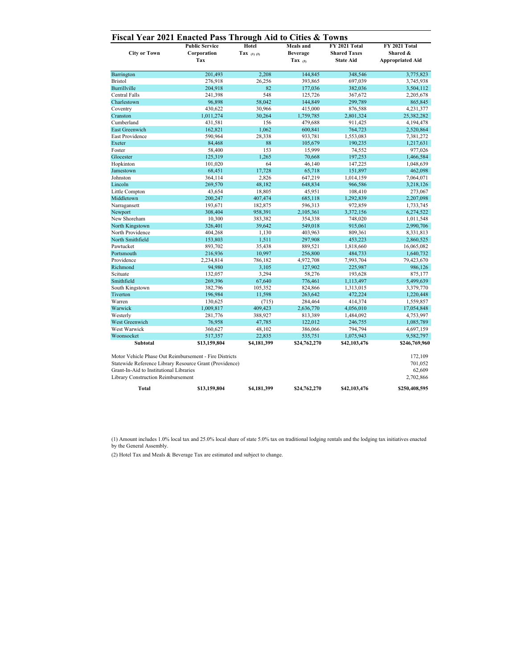| <b>City or Town</b>                                                           | <b>Public Service</b><br>Corporation<br>Tax                                                                       | Hotel<br>Tax $(1)$ $(2)$ | <b>Meals</b> and<br><b>Beverage</b><br>Tax $(2)$ | FY 2021 Total<br><b>Shared Taxes</b><br><b>State Aid</b> | FY 2021 Total<br>Shared &<br><b>Appropriated Aid</b> |
|-------------------------------------------------------------------------------|-------------------------------------------------------------------------------------------------------------------|--------------------------|--------------------------------------------------|----------------------------------------------------------|------------------------------------------------------|
| Barrington                                                                    | 201,493                                                                                                           | 2.208                    | 144,845                                          | 348,546                                                  | 3,775,823                                            |
| <b>Bristol</b>                                                                | 276,918                                                                                                           | 26.256                   | 393,865                                          | 697,039                                                  | 3,745,938                                            |
| <b>Burrillville</b>                                                           | 204,918                                                                                                           | 82                       | 177,036                                          | 382,036                                                  | 3,504,112                                            |
| <b>Central Falls</b>                                                          | 241,398                                                                                                           | 548                      | 125,726                                          | 367,672                                                  | 2,205,678                                            |
| Charlestown                                                                   | 96,898                                                                                                            | 58,042                   | 144,849                                          | 299,789                                                  | 865,845                                              |
| Coventry                                                                      | 430,622                                                                                                           | 30,966                   | 415,000                                          | 876,588                                                  | 4,231,377                                            |
| Cranston                                                                      | 1,011,274                                                                                                         | 30,264                   | 1,759,785                                        | 2,801,324                                                | 25,382,282                                           |
| Cumberland                                                                    | 431,581                                                                                                           | 156                      | 479,688                                          | 911,425                                                  | 4,194,478                                            |
| <b>East Greenwich</b>                                                         | 162,821                                                                                                           | 1,062                    | 600,841                                          | 764,723                                                  | 2,520,864                                            |
| <b>East Providence</b>                                                        | 590,964                                                                                                           | 28,338                   | 933,781                                          | 1,553,083                                                | 7,381,272                                            |
| Exeter                                                                        | 84,468                                                                                                            | 88                       | 105,679                                          | 190,235                                                  | 1,217,631                                            |
| Foster                                                                        | 58,400                                                                                                            | 153                      | 15,999                                           | 74,552                                                   | 977,026                                              |
| Glocester                                                                     | 125,319                                                                                                           | 1,265                    | 70,668                                           | 197,253                                                  | 1,466,584                                            |
| Hopkinton                                                                     | 101,020                                                                                                           | 64                       | 46,140                                           | 147,225                                                  | 1,048,639                                            |
| Jamestown                                                                     | 68,451                                                                                                            | 17,728                   | 65,718                                           | 151,897                                                  | 462,098                                              |
| Johnston                                                                      | 364,114                                                                                                           | 2,826                    | 647,219                                          | 1,014,159                                                | 7,064,071                                            |
| Lincoln                                                                       | 269,570                                                                                                           | 48,182                   | 648,834                                          | 966,586                                                  | 3,218,126                                            |
| Little Compton                                                                | 43,654                                                                                                            | 18,805                   | 45,951                                           | 108,410                                                  | 273,067                                              |
| Middletown                                                                    | 200,247                                                                                                           | 407,474                  | 685,118                                          | 1,292,839                                                | 2,207,098                                            |
| Narragansett                                                                  | 193.671                                                                                                           | 182,875                  | 596.313                                          | 972,859                                                  | 1,733,745                                            |
| Newport                                                                       | 308,404                                                                                                           | 958,391                  | 2,105,361                                        | 3,372,156                                                | 6,274,522                                            |
| New Shoreham                                                                  | 10,300                                                                                                            | 383,382                  | 354,338                                          | 748,020                                                  | 1,011,548                                            |
| North Kingstown                                                               | 326,401                                                                                                           | 39.642                   | 549,018                                          | 915,061                                                  | 2,990,706                                            |
| North Providence                                                              | 404,268                                                                                                           | 1,130                    | 403,963                                          | 809,361                                                  | 8,331,813                                            |
| North Smithfield                                                              | 153,803                                                                                                           | 1,511                    | 297,908                                          | 453,223                                                  | 2,860,525                                            |
| Pawtucket                                                                     | 893,702                                                                                                           | 35,438                   | 889,521                                          | 1,818,660                                                | 16,065,082                                           |
| Portsmouth                                                                    | 216,936                                                                                                           | 10,997                   | 256,800                                          | 484,733                                                  | 1,640,732                                            |
| Providence                                                                    | 2,234,814                                                                                                         | 786,182                  | 4,972,708                                        | 7,993,704                                                | 79,423,670                                           |
| Richmond                                                                      | 94,980                                                                                                            | 3,105                    | 127,902                                          | 225,987                                                  | 986,126                                              |
| Scituate                                                                      | 132,057                                                                                                           | 3,294                    | 58,276                                           | 193,628                                                  | 875,177                                              |
| Smithfield                                                                    | 269,396                                                                                                           | 67,640                   | 776,461                                          | 1,113,497                                                | 5,499,639                                            |
| South Kingstown                                                               | 382,796                                                                                                           | 105,352                  | 824,866                                          | 1,313,015                                                | 3,379,770                                            |
| Tiverton                                                                      | 196,984                                                                                                           | 11,598                   | 263,642                                          | 472,224                                                  | 1,220,448                                            |
| Warren                                                                        | 130,625                                                                                                           | (715)                    | 284,464                                          | 414,374                                                  | 1,559,857                                            |
| Warwick                                                                       | 1,009,817                                                                                                         | 409,423                  | 2,636,770                                        | 4,056,010                                                | 17,054,848                                           |
| Westerly                                                                      | 281,776                                                                                                           | 388,927                  | 813,389                                          | 1,484,092                                                | 4,753,997                                            |
| West Greenwich                                                                | 76,958                                                                                                            | 47,785                   | 122,012                                          | 246,755                                                  | 1,085,789                                            |
| West Warwick                                                                  | 360,627                                                                                                           | 48,102                   | 386,066                                          | 794,794                                                  | 4,697,159                                            |
| Woonsocket                                                                    | 517,357                                                                                                           | 22,835                   | 535,751                                          | 1,075,943                                                | 9,582,797                                            |
| <b>Subtotal</b>                                                               | \$13,159,804                                                                                                      | \$4,181,399              | \$24,762,270                                     | \$42,103,476                                             | \$246,769,960                                        |
| Grant-In-Aid to Institutional Libraries<br>Library Construction Reimbursement | Motor Vehicle Phase Out Reimbursement - Fire Districts<br>Statewide Reference Library Resource Grant (Providence) |                          |                                                  |                                                          | 172,109<br>701,052<br>62,609<br>2,702,866            |
| <b>Total</b>                                                                  | \$13,159,804                                                                                                      | \$4,181,399              | \$24,762,270                                     | \$42,103,476                                             | \$250,408,595                                        |

(1) Amount includes 1.0% local tax and 25.0% local share of state 5.0% tax on traditional lodging rentals and the lodging tax initiatives enacted by the General Assembly.

(2) Hotel Tax and Meals & Beverage Tax are estimated and subject to change.